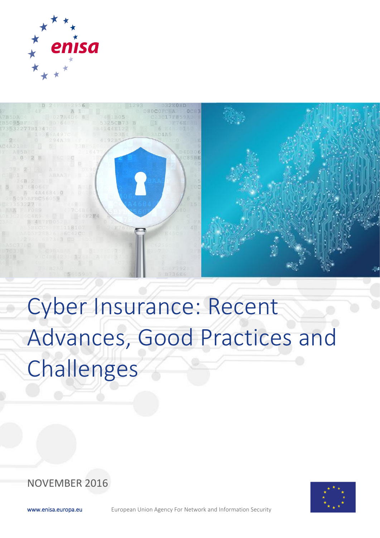



Cyber Insurance: Recent Advances, Good Practices and Challenges





[www.enisa.europa.eu](http://www.enisa.europa.eu/) **European Union Agency For Network and Information Security**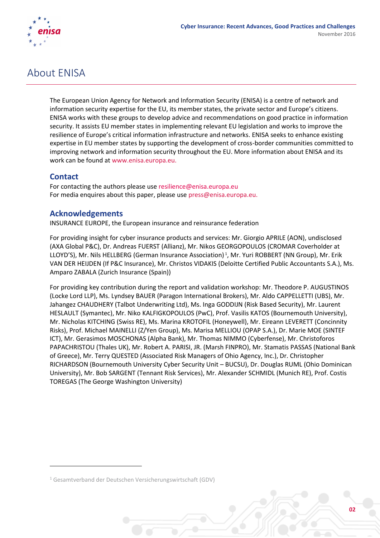

# About ENISA

The European Union Agency for Network and Information Security (ENISA) is a centre of network and information security expertise for the EU, its member states, the private sector and Europe's citizens. ENISA works with these groups to develop advice and recommendations on good practice in information security. It assists EU member states in implementing relevant EU legislation and works to improve the resilience of Europe's critical information infrastructure and networks. ENISA seeks to enhance existing expertise in EU member states by supporting the development of cross-border communities committed to improving network and information security throughout the EU. More information about ENISA and its work can be found at [www.enisa.europa.eu.](https://www.enisa.europa.eu/)

## **Contact**

**.** 

For contacting the authors please use resilience@enisa.europa.eu For media enquires about this paper, please use [press@enisa.europa.eu.](mailto:press@enisa.europa.eu.)

## **Acknowledgements**

INSURANCE EUROPE, the European insurance and reinsurance federation

For providing insight for cyber insurance products and services: Mr. Giorgio APRILE (AON), undisclosed (AXA Global P&C), Dr. Andreas FUERST (Allianz), Mr. Nikos GEORGOPOULOS (CROMAR Coverholder at LLOYD'S), Mr. Nils HELLBERG (German Insurance Association)<sup>1</sup>, Mr. Yuri ROBBERT (NN Group), Mr. Erik VAN DER HEIJDEN (If P&C Insurance), Mr. Christos VIDAKIS (Deloitte Certified Public Accountants S.A.), Ms. Amparo ZABALA (Zurich Insurance (Spain))

For providing key contribution during the report and validation workshop: Mr. Theodore P. AUGUSTINOS (Locke Lord LLP), Ms. Lyndsey BAUER (Paragon International Brokers), Mr. Aldo CAPPELLETTI (UBS), Mr. Jahangez CHAUDHERY (Talbot Underwriting Ltd), Ms. Inga GODDIJN (Risk Based Security), Mr. Laurent HESLAULT (Symantec), Mr. Niko KALFIGKOPOULOS (PwC), Prof. Vasilis KATOS (Bournemouth University), Mr. Nicholas KITCHING (Swiss RE), Ms. Marina KROTOFIL (Honeywell), Mr. Eireann LEVERETT (Concinnity Risks), Prof. Michael MAINELLI (Z/Yen Group), Ms. Marisa MELLIOU (OPAP S.A.), Dr. Marie MOE (SINTEF ICT), Mr. Gerasimos MOSCHONAS (Alpha Bank), Mr. Thomas NIMMO (Cyberfense), Mr. Christoforos PAPACHRISTOU (Thales UK), Mr. Robert A. PARISI, JR. (Marsh FINPRO), Mr. Stamatis PASSAS (National Bank of Greece), Mr. Terry QUESTED (Associated Risk Managers of Ohio Agency, Inc.), Dr. Christopher RICHARDSON (Bournemouth University Cyber Security Unit – BUCSU), Dr. Douglas RUML (Ohio Dominican University), Mr. Bob SARGENT (Tennant Risk Services), Mr. Alexander SCHMIDL (Munich RE), Prof. Costis TOREGAS (The George Washington University)

<sup>1</sup> Gesamtverband der Deutschen Versicherungswirtschaft (GDV)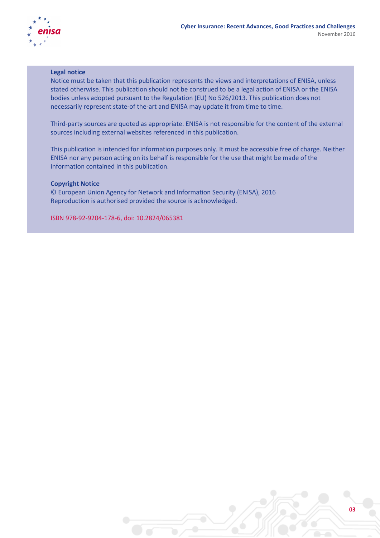

#### **Legal notice**

Notice must be taken that this publication represents the views and interpretations of ENISA, unless stated otherwise. This publication should not be construed to be a legal action of ENISA or the ENISA bodies unless adopted pursuant to the Regulation (EU) No 526/2013. This publication does not necessarily represent state-of the-art and ENISA may update it from time to time.

Third-party sources are quoted as appropriate. ENISA is not responsible for the content of the external sources including external websites referenced in this publication.

This publication is intended for information purposes only. It must be accessible free of charge. Neither ENISA nor any person acting on its behalf is responsible for the use that might be made of the information contained in this publication.

#### **Copyright Notice**

© European Union Agency for Network and Information Security (ENISA), 2016 Reproduction is authorised provided the source is acknowledged.

ISBN 978-92-9204-178-6, doi: 10.2824/065381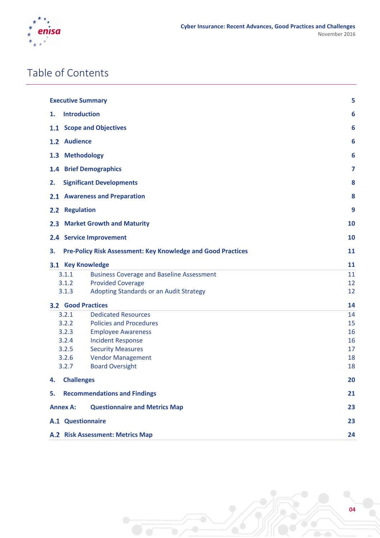

# Table of Contents

| <b>Executive Summary</b>               |                                                                     | 5              |
|----------------------------------------|---------------------------------------------------------------------|----------------|
| 1.                                     | <b>Introduction</b>                                                 |                |
| 1.1 Scope and Objectives               |                                                                     | 6              |
| 1.2 Audience                           |                                                                     | 6              |
|                                        |                                                                     |                |
| 1.3 Methodology                        |                                                                     | 6              |
| 1.4 Brief Demographics                 |                                                                     | $\overline{7}$ |
| <b>Significant Developments</b><br>2.  |                                                                     | 8              |
| 2.1 Awareness and Preparation          |                                                                     | 8              |
| 2.2 Regulation                         |                                                                     | 9              |
| 2.3 Market Growth and Maturity         |                                                                     | 10             |
|                                        | 2.4 Service Improvement                                             | 10             |
|                                        |                                                                     |                |
| 3.                                     | <b>Pre-Policy Risk Assessment: Key Knowledge and Good Practices</b> | 11             |
| 3.1 Key Knowledge                      |                                                                     | 11             |
| 3.1.1                                  | <b>Business Coverage and Baseline Assessment</b>                    | 11             |
| 3.1.2                                  | <b>Provided Coverage</b>                                            | 12             |
| 3.1.3                                  | Adopting Standards or an Audit Strategy                             | 12             |
| <b>3.2 Good Practices</b>              |                                                                     | 14             |
| 3.2.1                                  | <b>Dedicated Resources</b>                                          | 14             |
| 3.2.2                                  | <b>Policies and Procedures</b>                                      | 15             |
| 3.2.3                                  | <b>Employee Awareness</b>                                           | 16             |
| 3.2.4                                  | <b>Incident Response</b>                                            | 16             |
| 3.2.5                                  | <b>Security Measures</b>                                            | 17             |
| 3.2.6                                  | <b>Vendor Management</b>                                            | 18             |
| 3.2.7                                  | <b>Board Oversight</b>                                              | 18             |
| <b>Challenges</b>                      |                                                                     | 20             |
| 5.                                     | <b>Recommendations and Findings</b>                                 | 21             |
| <b>Annex A:</b>                        | <b>Questionnaire and Metrics Map</b>                                | 23             |
|                                        | <b>A.1 Questionnaire</b><br>23                                      |                |
| A.2 Risk Assessment: Metrics Map<br>24 |                                                                     |                |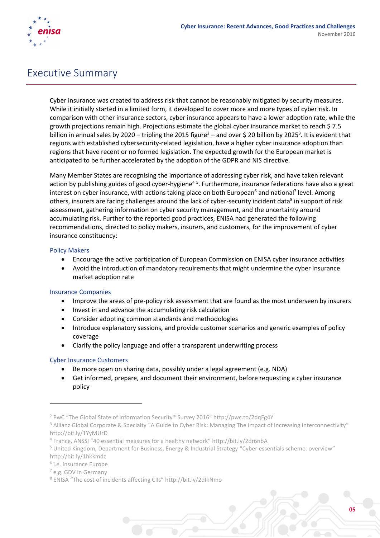

## <span id="page-4-0"></span>Executive Summary

Cyber insurance was created to address risk that cannot be reasonably mitigated by security measures. While it initially started in a limited form, it developed to cover more and more types of cyber risk. In comparison with other insurance sectors, cyber insurance appears to have a lower adoption rate, while the growth projections remain high. Projections estimate the global cyber insurance market to reach \$ 7.5 billion in annual sales by 2020 – tripling the 2015 figure<sup>2</sup> – and over \$ 20 billion by 2025<sup>3</sup>. It is evident that regions with established cybersecurity-related legislation, have a higher cyber insurance adoption than regions that have recent or no formed legislation. The expected growth for the European market is anticipated to be further accelerated by the adoption of the GDPR and NIS directive.

Many Member States are recognising the importance of addressing cyber risk, and have taken relevant action by publishing guides of good cyber-hygiene<sup>45</sup>. Furthermore, insurance federations have also a great interest on cyber insurance, with actions taking place on both European<sup>6</sup> and national<sup>7</sup> level. Among others, insurers are facing challenges around the lack of cyber-security incident data<sup>8</sup> in support of risk assessment, gathering information on cyber security management, and the uncertainty around accumulating risk. Further to the reported good practices, ENISA had generated the following recommendations, directed to policy makers, insurers, and customers, for the improvement of cyber insurance constituency:

#### Policy Makers

- Encourage the active participation of European Commission on ENISA cyber insurance activities
- Avoid the introduction of mandatory requirements that might undermine the cyber insurance market adoption rate

#### Insurance Companies

- Improve the areas of pre-policy risk assessment that are found as the most underseen by insurers
- Invest in and advance the accumulating risk calculation
- Consider adopting common standards and methodologies
- Introduce explanatory sessions, and provide customer scenarios and generic examples of policy coverage
- Clarify the policy language and offer a transparent underwriting process

### Cyber Insurance Customers

- Be more open on sharing data, possibly under a legal agreement (e.g. NDA)
- Get informed, prepare, and document their environment, before requesting a cyber insurance policy

**.** 

<sup>2</sup> PwC "The Global State of Information Security® Survey 2016" http://pwc.to/2dqFg4Y

<sup>&</sup>lt;sup>3</sup> Allianz Global Corporate & Specialty "A Guide to Cyber Risk: Managing The Impact of Increasing Interconnectivity" http://bit.ly/1YyMUrD

<sup>4</sup> France, ANSSI "40 essential measures for a healthy network" http://bit.ly/2dr6nbA

 $<sup>5</sup>$  United Kingdom, Department for Business, Energy & Industrial Strategy "Cyber essentials scheme: overview"</sup> http://bit.ly/1hkkmdz

<sup>6</sup> i.e. Insurance Europe

<sup>7</sup> e.g. GDV in Germany

<sup>8</sup> ENISA "The cost of incidents affecting CIIs" http://bit.ly/2dIkNmo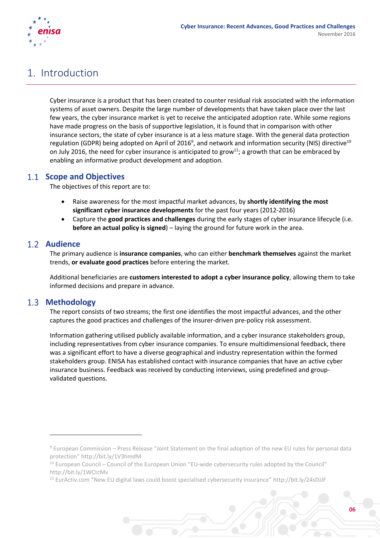

# <span id="page-5-0"></span>1. Introduction

Cyber insurance is a product that has been created to counter residual risk associated with the information systems of asset owners. Despite the large number of developments that have taken place over the last few years, the cyber insurance market is yet to receive the anticipated adoption rate. While some regions have made progress on the basis of supportive legislation, it is found that in comparison with other insurance sectors, the state of cyber insurance is at a less mature stage. With the general data protection regulation (GDPR) being adopted on April of 2016<sup>9</sup>, and network and information security (NIS) directive<sup>10</sup> on July 2016, the need for cyber insurance is anticipated to grow<sup>11</sup>; a growth that can be embraced by enabling an informative product development and adoption.

## <span id="page-5-1"></span>**Scope and Objectives**

The objectives of this report are to:

- Raise awareness for the most impactful market advances, by **shortly identifying the most significant cyber insurance developments** for the past four years (2012-2016)
- Capture the **good practices and challenges** during the early stages of cyber insurance lifecycle (i.e. **before an actual policy is signed**) – laying the ground for future work in the area.

## <span id="page-5-2"></span>**Audience**

The primary audience is **insurance companies**, who can either **benchmark themselves** against the market trends, **or evaluate good practices** before entering the market.

Additional beneficiaries are **customers interested to adopt a cyber insurance policy**, allowing them to take informed decisions and prepare in advance.

## <span id="page-5-3"></span>**Methodology**

1

The report consists of two streams; the first one identifies the most impactful advances, and the other captures the good practices and challenges of the insurer-driven pre-policy risk assessment.

Information gathering utilised publicly available information, and a cyber insurance stakeholders group, including representatives from cyber insurance companies. To ensure multidimensional feedback, there was a significant effort to have a diverse geographical and industry representation within the formed stakeholders group. ENISA has established contact with insurance companies that have an active cyber insurance business. Feedback was received by conducting interviews, using predefined and groupvalidated questions.

<sup>&</sup>lt;sup>9</sup> European Commission – Press Release "Joint Statement on the final adoption of the new EU rules for personal data protection" http://bit.ly/1V3hmdM

<sup>&</sup>lt;sup>10</sup> European Council – Council of the European Union "EU-wide cybersecurity rules adopted by the Council" http://bit.ly/1WCtcMv

<sup>11</sup> EurActiv.com "New EU digital laws could boost specialised cybersecurity insurance" http://bit.ly/24sDJJF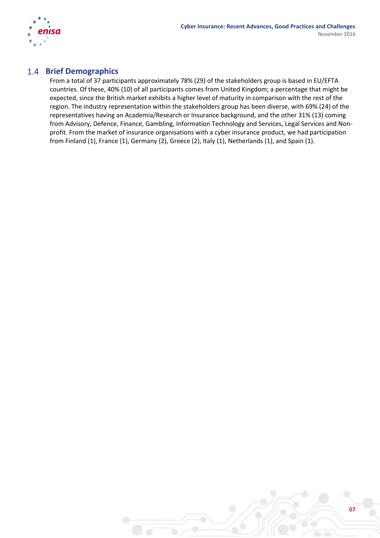

## <span id="page-6-0"></span>**Brief Demographics**

From a total of 37 participants approximately 78% (29) of the stakeholders group is based in EU/EFTA countries. Of these, 40% (10) of all participants comes from United Kingdom; a percentage that might be expected, since the British market exhibits a higher level of maturity in comparison with the rest of the region. The industry representation within the stakeholders group has been diverse, with 69% (24) of the representatives having an Academia/Research or Insurance background, and the other 31% (13) coming from Advisory, Defence, Finance, Gambling, Information Technology and Services, Legal Services and Nonprofit. From the market of insurance organisations with a cyber insurance product, we had participation from Finland (1), France (1), Germany (2), Greece (2), Italy (1), Netherlands (1), and Spain (1).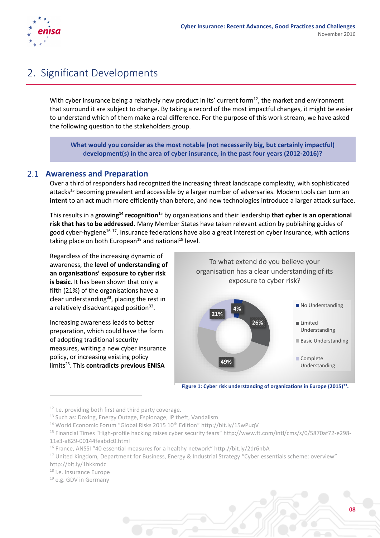

# <span id="page-7-0"></span>2. Significant Developments

With cyber insurance being a relatively new product in its' current form<sup>12</sup>, the market and environment that surround it are subject to change. By taking a record of the most impactful changes, it might be easier to understand which of them make a real difference. For the purpose of this work stream, we have asked the following question to the stakeholders group.

**What would you consider as the most notable (not necessarily big, but certainly impactful) development(s) in the area of cyber insurance, in the past four years (2012-2016)?**

## <span id="page-7-1"></span>**Awareness and Preparation**

Over a third of responders had recognized the increasing threat landscape complexity, with sophisticated attacks<sup>13</sup> becoming prevalent and accessible by a larger number of adversaries. Modern tools can turn an **intent** to an **act** much more efficiently than before, and new technologies introduce a larger attack surface.

This results in a **growing<sup>14</sup> recognition**<sup>15</sup> by organisations and their leadership **that cyber is an operational risk that has to be addressed**. Many Member States have taken relevant action by publishing guides of good cyber-hygiene<sup>16 17</sup>. Insurance federations have also a great interest on cyber insurance, with actions taking place on both European<sup>18</sup> and national<sup>19</sup> level.

Regardless of the increasing dynamic of awareness, the **level of understanding of an organisations' exposure to cyber risk is basic**. It has been shown that only a fifth (21%) of the organisations have a clear understanding<sup>[33](#page-13-2)</sup>, placing the rest in a relatively disadvantaged position<sup>[33](#page-13-3)</sup>.

Increasing awareness leads to better preparation, which could have the form of adopting traditional security measures, writing a new cyber insurance policy, or increasing existing policy limits[23](#page-9-2). This **contradicts previous ENISA** 





<sup>&</sup>lt;sup>12</sup> I.e. providing both first and third party coverage.

<sup>18</sup> i.e. Insurance Europe

**.** 

<sup>19</sup> e.g. GDV in Germany

<sup>&</sup>lt;sup>13</sup> Such as: Doxing, Energy Outage, Espionage, IP theft, Vandalism

<sup>&</sup>lt;sup>14</sup> World Economic Forum "Global Risks 2015 10<sup>th</sup> Edition" http://bit.ly/15wPuqV

<sup>15</sup> Financial Times "High-profile hacking raises cyber security fears" http://www.ft.com/intl/cms/s/0/5870af72-e298- 11e3-a829-00144feabdc0.html

<sup>&</sup>lt;sup>16</sup> France, ANSSI "40 essential measures for a healthy network" http://bit.ly/2dr6nbA

<sup>&</sup>lt;sup>17</sup> United Kingdom, Department for Business, Energy & Industrial Strategy "Cyber essentials scheme: overview" http://bit.ly/1hkkmdz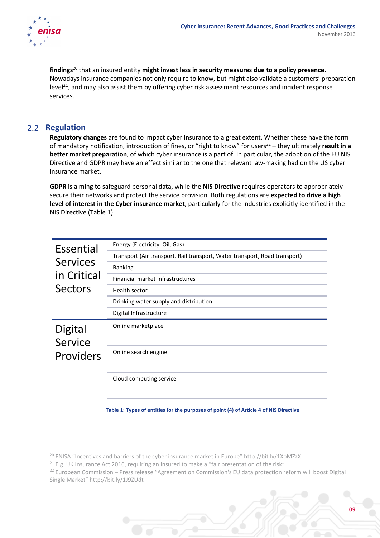

**findings**<sup>20</sup> that an insured entity **might invest less in security measures due to a policy presence**. Nowadays insurance companies not only require to know, but might also validate a customers' preparation level $^{21}$ , and may also assist them by offering cyber risk assessment resources and incident response services.

## <span id="page-8-0"></span>2.2 **Regulation**

<span id="page-8-1"></span>**.** 

**Regulatory changes** are found to impact cyber insurance to a great extent. Whether these have the form of mandatory notification, introduction of fines, or "right to know" for users<sup>22</sup> – they ultimately result in a **better market preparation**, of which cyber insurance is a part of. In particular, the adoption of the EU NIS Directive and GDPR may have an effect similar to the one that relevant law-making had on the US cyber insurance market.

**GDPR** is aiming to safeguard personal data, while the **NIS Directive** requires operators to appropriately secure their networks and protect the service provision. Both regulations are **expected to drive a high level of interest in the Cyber insurance market**, particularly for the industries explicitly identified in the NIS Directive [\(Table 1\)](#page-8-1).

| Essential          | Energy (Electricity, Oil, Gas)                                             |
|--------------------|----------------------------------------------------------------------------|
|                    | Transport (Air transport, Rail transport, Water transport, Road transport) |
| <b>Services</b>    | <b>Banking</b>                                                             |
| in Critical        | Financial market infrastructures                                           |
| Sectors            | Health sector                                                              |
|                    | Drinking water supply and distribution                                     |
|                    | Digital Infrastructure                                                     |
| Digital<br>Service | Online marketplace                                                         |
| Providers          | Online search engine                                                       |

Cloud computing service

**Table 1: Types of entities for the purposes of point (4) of Article 4 of NIS Directive**

<sup>&</sup>lt;sup>20</sup> ENISA "Incentives and barriers of the cyber insurance market in Europe" http://bit.ly/1XoMZzX

 $21$  E.g. UK Insurance Act 2016, requiring an insured to make a "fair presentation of the risk"

<sup>&</sup>lt;sup>22</sup> European Commission – Press release "Agreement on Commission's EU data protection reform will boost Digital Single Market" http://bit.ly/1J9ZUdt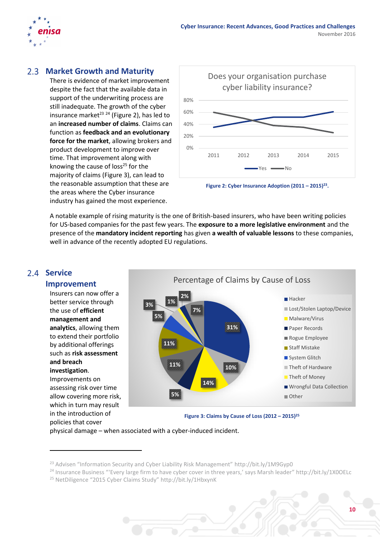

## **Market Growth and Maturity**

<span id="page-9-2"></span><span id="page-9-0"></span>There is evidence of market improvement despite the fact that the available data in support of the underwriting process are still inadequate. The growth of the cyber insurance market<sup>23</sup> <sup>24</sup> [\(Figure 2\)](#page-9-3), has led to an **increased number of claims**. Claims can function as **feedback and an evolutionary force for the market**, allowing brokers and product development to improve over time. That improvement along with knowing the cause of  $loss<sup>25</sup>$  for the majority of claims [\(Figure 3\)](#page-9-4), can lead to the reasonable assumption that these are the areas where the Cyber insurance industry has gained the most experience.



<span id="page-9-5"></span><span id="page-9-3"></span>

A notable example of rising maturity is the one of British-based insurers, who have been writing policies for US-based companies for the past few years. The **exposure to a more legislative environment** and the presence of the **mandatory incident reporting** has given **a wealth of valuable lessons** to these companies, well in advance of the recently adopted EU regulations.

## 2.4 Service

**.** 

### <span id="page-9-1"></span>**Improvement**

Insurers can now offer a better service through the use of **efficient management and analytics**, allowing them to extend their portfolio by additional offerings such as **risk assessment and breach investigation**. Improvements on assessing risk over time allow covering more risk, which in turn may result in the introduction of policies that cover



<span id="page-9-4"></span>**Figure 3: Claims by Cause of Loss (2012 – 2015)[25](#page-9-5)**

physical damage – when associated with a cyber-induced incident.

<sup>23</sup> Advisen "Information Security and Cyber Liability Risk Management" http://bit.ly/1M9Gyp0

<sup>&</sup>lt;sup>24</sup> Insurance Business "'Every large firm to have cyber cover in three years,' says Marsh leader" http://bit.ly/1X0OELc

<sup>25</sup> NetDiligence "2015 Cyber Claims Study" http://bit.ly/1HbxynK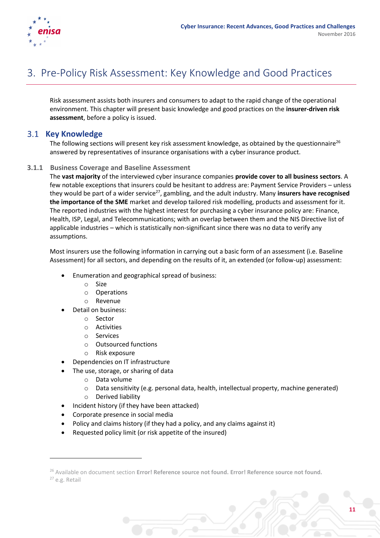

# <span id="page-10-0"></span>3. Pre-Policy Risk Assessment: Key Knowledge and Good Practices

Risk assessment assists both insurers and consumers to adapt to the rapid change of the operational environment. This chapter will present basic knowledge and good practices on the **insurer-driven risk assessment**, before a policy is issued.

## <span id="page-10-1"></span>**3.1 Key Knowledge**

The following sections will present key risk assessment knowledge, as obtained by the questionnaire<sup>26</sup> answered by representatives of insurance organisations with a cyber insurance product.

#### <span id="page-10-2"></span>**3.1.1 Business Coverage and Baseline Assessment**

The **vast majority** of the interviewed cyber insurance companies **provide cover to all business sectors**. A few notable exceptions that insurers could be hesitant to address are: Payment Service Providers – unless they would be part of a wider service<sup>27</sup>, gambling, and the adult industry. Many insurers have recognised **the importance of the SME** market and develop tailored risk modelling, products and assessment for it. The reported industries with the highest interest for purchasing a cyber insurance policy are: Finance, Health, ISP, Legal, and Telecommunications; with an overlap between them and the NIS Directive list of applicable industries – which is statistically non-significant since there was no data to verify any assumptions.

Most insurers use the following information in carrying out a basic form of an assessment (i.e. Baseline Assessment) for all sectors, and depending on the results of it, an extended (or follow-up) assessment:

- Enumeration and geographical spread of business:
	- o Size
	- o Operations
	- o Revenue
	- Detail on business:
		- o Sector
		- o Activities
		- o Services
		- o Outsourced functions
		- o Risk exposure
- Dependencies on IT infrastructure
- The use, storage, or sharing of data
	- o Data volume
	- o Data sensitivity (e.g. personal data, health, intellectual property, machine generated)
	- o Derived liability
- Incident history (if they have been attacked)
- Corporate presence in social media
- Policy and claims history (if they had a policy, and any claims against it)
- Requested policy limit (or risk appetite of the insured)

**.** 

<sup>26</sup> Available on document section **Error! Reference source not found. Error! Reference source not found.**

<sup>27</sup> e.g. Retail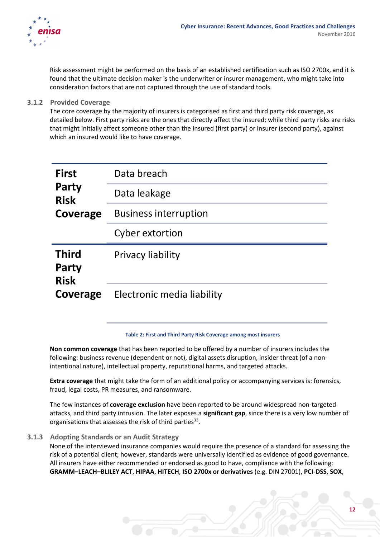

Risk assessment might be performed on the basis of an established certification such as ISO 2700x, and it is found that the ultimate decision maker is the underwriter or insurer management, who might take into consideration factors that are not captured through the use of standard tools.

### <span id="page-11-0"></span>**3.1.2 Provided Coverage**

The core coverage by the majority of insurers is categorised as first and third party risk coverage, as detailed [below.](#page-11-2) First party risks are the ones that directly affect the insured; while third party risks are risks that might initially affect someone other than the insured (first party) or insurer (second party), against which an insured would like to have coverage.

| <b>First</b><br>Party<br><b>Risk</b> | Data breach<br>Data leakage  |
|--------------------------------------|------------------------------|
| Coverage                             | <b>Business interruption</b> |
|                                      | Cyber extortion              |
| <b>Third</b><br>Party<br><b>Risk</b> | Privacy liability            |
| Coverage                             | Electronic media liability   |

**Table 2: First and Third Party Risk Coverage among most insurers**

<span id="page-11-2"></span>**Non common coverage** that has been reported to be offered by a number of insurers includes the following: business revenue (dependent or not), digital assets disruption, insider threat (of a nonintentional nature), intellectual property, reputational harms, and targeted attacks.

**Extra coverage** that might take the form of an additional policy or accompanying services is: forensics, fraud, legal costs, PR measures, and ransomware.

The few instances of **coverage exclusion** have been reported to be around widespread non-targeted attacks, and third party intrusion. The later exposes a **significant gap**, since there is a very low number of organisations that assesses the risk of third parties $^{33}$  $^{33}$  $^{33}$ .

### <span id="page-11-1"></span>**3.1.3 Adopting Standards or an Audit Strategy**

None of the interviewed insurance companies would require the presence of a standard for assessing the risk of a potential client; however, standards were universally identified as evidence of good governance. All insurers have either recommended or endorsed as good to have, compliance with the following: **GRAMM–LEACH–BLILEY ACT**, **HIPAA**, **HITECH**, **ISO 2700x or derivatives** (e.g. DIN 27001), **PCI-DSS**, **SOX**,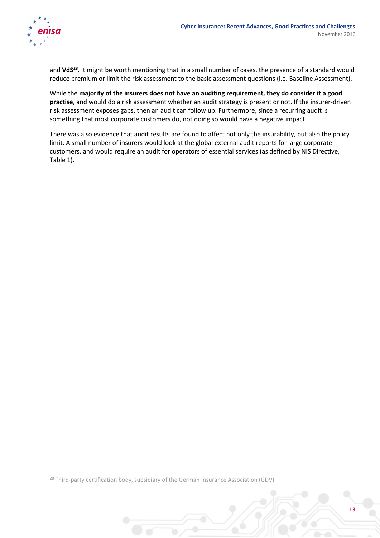

**.** 

<span id="page-12-0"></span>and **VdS<sup>28</sup>**. It might be worth mentioning that in a small number of cases, the presence of a standard would reduce premium or limit the risk assessment to the basic assessment questions (i.e. Baseline Assessment).

While the **majority of the insurers does not have an auditing requirement, they do consider it a good practise**, and would do a risk assessment whether an audit strategy is present or not. If the insurer-driven risk assessment exposes gaps, then an audit can follow up. Furthermore, since a recurring audit is something that most corporate customers do, not doing so would have a negative impact.

There was also evidence that audit results are found to affect not only the insurability, but also the policy limit. A small number of insurers would look at the global external audit reports for large corporate customers, and would require an audit for operators of essential services (as defined by NIS Directive, [Table 1\)](#page-8-1).

<sup>&</sup>lt;sup>28</sup> Third-party certification body, subsidiary of the German Insurance Association (GDV)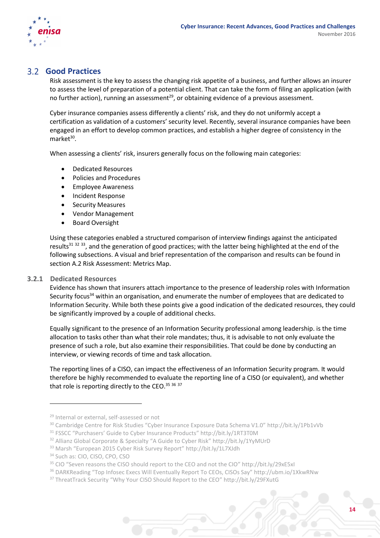

## <span id="page-13-0"></span>**Good Practices**

Risk assessment is the key to assess the changing risk appetite of a business, and further allows an insurer to assess the level of preparation of a potential client. That can take the form of filing an application (with no further action), running an assessment<sup>29</sup>, or obtaining evidence of a previous assessment.

Cyber insurance companies assess differently a clients' risk, and they do not uniformly accept a certification as validation of a customers' security level. Recently, several insurance companies have been engaged in an effort to develop common practices, and establish a higher degree of consistency in the market<sup>30</sup>.

When assessing a clients' risk, insurers generally focus on the following main categories:

- Dedicated Resources
- Policies and Procedures
- Employee Awareness
- Incident Response
- Security Measures
- Vendor Management
- <span id="page-13-3"></span><span id="page-13-2"></span>Board Oversight

Using these categories enabled a structured comparison of interview findings against the anticipated results<sup>31 32 33</sup>, and the generation of good practices; with the latter being highlighted at the end of the following subsections. A visual and brief representation of the comparison and results can be found in sectio[n A.2](#page-23-0) [Risk Assessment: Metrics Map.](#page-23-0)

#### <span id="page-13-1"></span>**3.2.1 Dedicated Resources**

**.** 

Evidence has shown that insurers attach importance to the presence of leadership roles with Information Security focus<sup>34</sup> within an organisation, and enumerate the number of employees that are dedicated to Information Security. While both these points give a good indication of the dedicated resources, they could be significantly improved by a couple of additional checks.

Equally significant to the presence of an Information Security professional among leadership. is the time allocation to tasks other than what their role mandates; thus, it is advisable to not only evaluate the presence of such a role, but also examine their responsibilities. That could be done by conducting an interview, or viewing records of time and task allocation.

The reporting lines of a CISO, can impact the effectiveness of an Information Security program. It would therefore be highly recommended to evaluate the reporting line of a CISO (or equivalent), and whether that role is reporting directly to the CEO.  $35\frac{36}{37}$ 

<sup>31</sup> FSSCC "Purchasers' Guide to Cyber Insurance Products" http://bit.ly/1RT3T0M

<sup>29</sup> Internal or external, self-assessed or not

<sup>30</sup> Cambridge Centre for Risk Studies "Cyber Insurance Exposure Data Schema V1.0" http://bit.ly/1Pb1vVb

<sup>32</sup> Allianz Global Corporate & Specialty "A Guide to Cyber Risk" http://bit.ly/1YyMUrD

<sup>33</sup> Marsh "European 2015 Cyber Risk Survey Report" http://bit.ly/1L7XJdh

<sup>&</sup>lt;sup>34</sup> Such as: CIO, CISO, CPO, CSO

<sup>35</sup> CIO "Seven reasons the CISO should report to the CEO and not the CIO" http://bit.ly/29xE5xI

<sup>36</sup> DARKReading "Top Infosec Execs Will Eventually Report To CEOs, CISOs Say" http://ubm.io/1XkwRNw

<sup>&</sup>lt;sup>37</sup> ThreatTrack Security "Why Your CISO Should Report to the CEO" http://bit.ly/29FXutG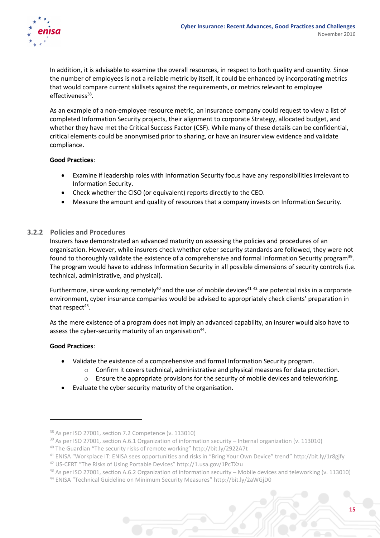In addition, it is advisable to examine the overall resources, in respect to both quality and quantity. Since the number of employees is not a reliable metric by itself, it could be enhanced by incorporating metrics that would compare current skillsets against the requirements, or metrics relevant to employee effectiveness<sup>38</sup>.

As an example of a non-employee resource metric, an insurance company could request to view a list of completed Information Security projects, their alignment to corporate Strategy, allocated budget, and whether they have met the Critical Success Factor (CSF). While many of these details can be confidential, critical elements could be anonymised prior to sharing, or have an insurer view evidence and validate compliance.

### **Good Practices**:

- Examine if leadership roles with Information Security focus have any responsibilities irrelevant to Information Security.
- Check whether the CISO (or equivalent) reports directly to the CEO.
- Measure the amount and quality of resources that a company invests on Information Security.

### <span id="page-14-0"></span>**3.2.2 Policies and Procedures**

Insurers have demonstrated an advanced maturity on assessing the policies and procedures of an organisation. However, while insurers check whether cyber security standards are followed, they were not found to thoroughly validate the existence of a comprehensive and formal Information Security program<sup>39</sup>. The program would have to address Information Security in all possible dimensions of security controls (i.e. technical, administrative, and physical).

Furthermore, since working remotely<sup>40</sup> and the use of mobile devices<sup>41 42</sup> are potential risks in a corporate environment, cyber insurance companies would be advised to appropriately check clients' preparation in that respect<sup>43</sup>.

As the mere existence of a program does not imply an advanced capability, an insurer would also have to assess the cyber-security maturity of an organisation<sup>44</sup>.

### **Good Practices**:

1

- Validate the existence of a comprehensive and formal Information Security program.
	- $\circ$  Confirm it covers technical, administrative and physical measures for data protection.
	- $\circ$  Ensure the appropriate provisions for the security of mobile devices and teleworking.
- Evaluate the cyber security maturity of the organisation.

<sup>38</sup> As per ISO 27001, section 7.2 Competence (v. 113010)

<sup>&</sup>lt;sup>39</sup> As per ISO 27001, section A.6.1 Organization of information security – Internal organization (v. 113010)

<sup>40</sup> The Guardian "The security risks of remote working" http://bit.ly/2922A7t

<sup>41</sup> ENISA "Workplace IT: ENISA sees opportunities and risks in "Bring Your Own Device" trend" http://bit.ly/1r8gjfy

<sup>42</sup> US-CERT "The Risks of Using Portable Devices" http://1.usa.gov/1PcTXzu

<sup>&</sup>lt;sup>43</sup> As per ISO 27001, section A.6.2 Organization of information security – Mobile devices and teleworking (v. 113010)

<sup>44</sup> ENISA "Technical Guideline on Minimum Security Measures" http://bit.ly/2aWGjD0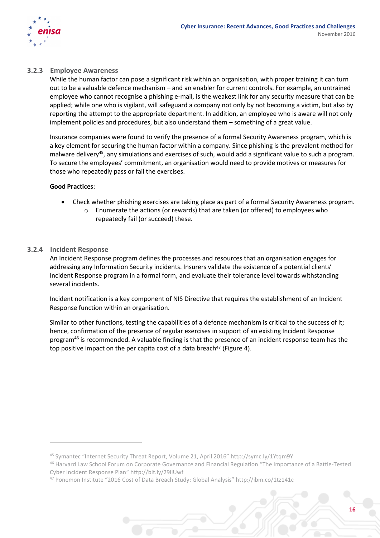

### <span id="page-15-0"></span>**3.2.3 Employee Awareness**

While the human factor can pose a significant risk within an organisation, with proper training it can turn out to be a valuable defence mechanism – and an enabler for current controls. For example, an untrained employee who cannot recognise a phishing e-mail, is the weakest link for any security measure that can be applied; while one who is vigilant, will safeguard a company not only by not becoming a victim, but also by reporting the attempt to the appropriate department. In addition, an employee who is aware will not only implement policies and procedures, but also understand them – something of a great value.

Insurance companies were found to verify the presence of a formal Security Awareness program, which is a key element for securing the human factor within a company. Since phishing is the prevalent method for malware delivery<sup>45</sup>, any simulations and exercises of such, would add a significant value to such a program. To secure the employees' commitment, an organisation would need to provide motives or measures for those who repeatedly pass or fail the exercises.

#### **Good Practices**:

- Check whether phishing exercises are taking place as part of a formal Security Awareness program. o Enumerate the actions (or rewards) that are taken (or offered) to employees who
	- repeatedly fail (or succeed) these.

### <span id="page-15-1"></span>**3.2.4 Incident Response**

**.** 

An Incident Response program defines the processes and resources that an organisation engages for addressing any Information Security incidents. Insurers validate the existence of a potential clients' Incident Response program in a formal form, and evaluate their tolerance level towards withstanding several incidents.

Incident notification is a key component of NIS Directive that requires the establishment of an Incident Response function within an organisation.

<span id="page-15-2"></span>Similar to other functions, testing the capabilities of a defence mechanism is critical to the success of it; hence, confirmation of the presence of regular exercises in support of an existing Incident Response program**<sup>46</sup>** is recommended. A valuable finding is that the presence of an incident response team has the top positive impact on the per capita cost of a data breach<sup>47</sup> ([Figure 4](#page-16-1)).

<sup>45</sup> Symantec "Internet Security Threat Report, Volume 21, April 2016" http://symc.ly/1Ytqm9Y

<sup>46</sup> Harvard Law School Forum on Corporate Governance and Financial Regulation "The Importance of a Battle-Tested Cyber Incident Response Plan" http://bit.ly/29llUwf

<sup>47</sup> Ponemon Institute "2016 Cost of Data Breach Study: Global Analysis" http://ibm.co/1tz141c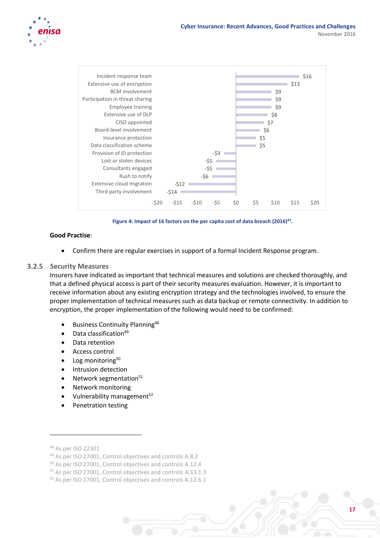



#### **Figure 4: Impact of 16 factors on the per capita cost of data breach (2016)[47](#page-15-2) .**

#### <span id="page-16-1"></span>**Good Practise**:

Confirm there are regular exercises in support of a formal Incident Response program.

#### <span id="page-16-0"></span>**3.2.5 Security Measures**

Insurers have indicated as important that technical measures and solutions are checked thoroughly, and that a defined physical access is part of their security measures evaluation. However, it is important to receive information about any existing encryption strategy and the technologies involved, to ensure the proper implementation of technical measures such as data backup or remote connectivity. In addition to encryption, the proper implementation of the following would need to be confirmed:

- Business Continuity Planning<sup>48</sup>
- Data classification<sup>49</sup>
- Data retention
- Access control
- Log monitoring<sup>50</sup>
- Intrusion detection
- Network segmentation $51$
- Network monitoring
- Vulnerability management<sup>52</sup>
- Penetration testing

1

<sup>48</sup> As per ISO 22301

<sup>49</sup> As per ISO 27001, Control objectives and controls A.8.2

<sup>50</sup> As per ISO 27001, Control objectives and controls A.12.4

<sup>51</sup> As per ISO 27001, Control objectives and controls A.13.1.3

<sup>52</sup> As per ISO 27001, Control objectives and controls A.12.6.1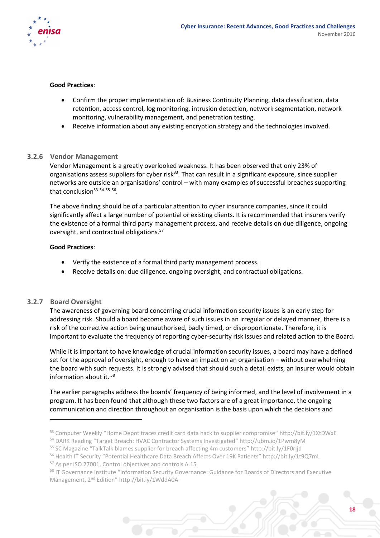

#### **Good Practices**:

- Confirm the proper implementation of: Business Continuity Planning, data classification, data retention, access control, log monitoring, intrusion detection, network segmentation, network monitoring, vulnerability management, and penetration testing.
- Receive information about any existing encryption strategy and the technologies involved.

#### <span id="page-17-0"></span>**3.2.6 Vendor Management**

Vendor Management is a greatly overlooked weakness. It has been observed that only 23% of organisations assess suppliers for cyber risk $33$ . That can result in a significant exposure, since supplier networks are outside an organisations' control – with many examples of successful breaches supporting that conclusion $53$  54 55 56.

The above finding should be of a particular attention to cyber insurance companies, since it could significantly affect a large number of potential or existing clients. It is recommended that insurers verify the existence of a formal third party management process, and receive details on due diligence, ongoing oversight, and contractual obligations.<sup>57</sup>

#### **Good Practices**:

- Verify the existence of a formal third party management process.
- Receive details on: due diligence, ongoing oversight, and contractual obligations.

#### <span id="page-17-1"></span>**3.2.7 Board Oversight**

1

The awareness of governing board concerning crucial information security issues is an early step for addressing risk. Should a board become aware of such issues in an irregular or delayed manner, there is a risk of the corrective action being unauthorised, badly timed, or disproportionate. Therefore, it is important to evaluate the frequency of reporting cyber-security risk issues and related action to the Board.

While it is important to have knowledge of crucial information security issues, a board may have a defined set for the approval of oversight, enough to have an impact on an organisation – without overwhelming the board with such requests. It is strongly advised that should such a detail exists, an insurer would obtain information about it. <sup>58</sup>

The earlier paragraphs address the boards' frequency of being informed, and the level of involvement in a program. It has been found that although these two factors are of a great importance, the ongoing communication and direction throughout an organisation is the basis upon which the decisions and

<sup>53</sup> Computer Weekly "Home Depot traces credit card data hack to supplier compromise" http://bit.ly/1XtDWxE

<sup>54</sup> DARK Reading "Target Breach: HVAC Contractor Systems Investigated" http://ubm.io/1Pwm8yM

<sup>55</sup> SC Magazine "TalkTalk blames supplier for breach affecting 4m customers" http://bit.ly/1F0rIjd

<sup>56</sup> Health IT Security "Potential Healthcare Data Breach Affects Over 19K Patients" http://bit.ly/1t9Q7mL

<sup>57</sup> As per ISO 27001, Control objectives and controls A.15

<sup>&</sup>lt;sup>58</sup> IT Governance Institute "Information Security Governance: Guidance for Boards of Directors and Executive Management, 2nd Edition" http://bit.ly/1WddA0A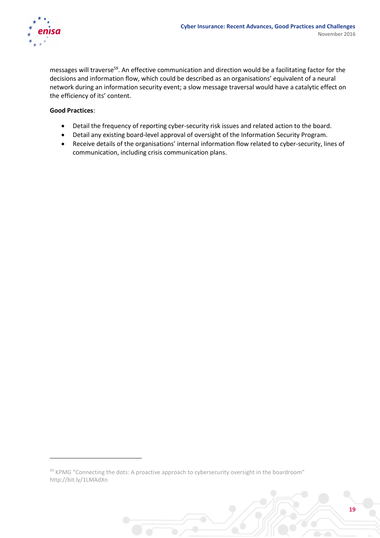

**.** 

messages will traverse<sup>59</sup>. An effective communication and direction would be a facilitating factor for the decisions and information flow, which could be described as an organisations' equivalent of a neural network during an information security event; a slow message traversal would have a catalytic effect on the efficiency of its' content.

### **Good Practices**:

- Detail the frequency of reporting cyber-security risk issues and related action to the board.
- Detail any existing board-level approval of oversight of the Information Security Program.
- Receive details of the organisations' internal information flow related to cyber-security, lines of communication, including crisis communication plans.

<sup>&</sup>lt;sup>59</sup> KPMG "Connecting the dots: A proactive approach to cybersecurity oversight in the boardroom" http://bit.ly/1LMAdXn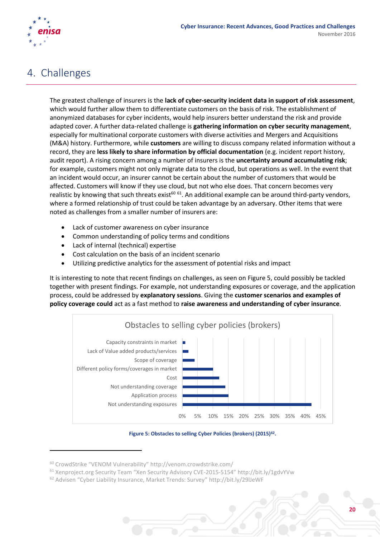

## <span id="page-19-0"></span>4. Challenges

<span id="page-19-1"></span>**.** 

The greatest challenge of insurers is the **lack of cyber-security incident data in support of risk assessment**, which would further allow them to differentiate customers on the basis of risk. The establishment of anonymized databases for cyber incidents, would help insurers better understand the risk and provide adapted cover. A further data-related challenge is **gathering information on cyber security management**, especially for multinational corporate customers with diverse activities and Mergers and Acquisitions (M&A) history. Furthermore, while **customers** are willing to discuss company related information without a record, they are **less likely to share information by official documentation** (e.g. incident report history, audit report). A rising concern among a number of insurers is the **uncertainty around accumulating risk**; for example, customers might not only migrate data to the cloud, but operations as well. In the event that an incident would occur, an insurer cannot be certain about the number of customers that would be affected. Customers will know if they use cloud, but not who else does. That concern becomes very realistic by knowing that such threats exist<sup>60 61</sup>. An additional example can be around third-party vendors, where a formed relationship of trust could be taken advantage by an adversary. Other items that were noted as challenges from a smaller number of insurers are:

- Lack of customer awareness on cyber insurance
- Common understanding of policy terms and conditions
- Lack of internal (technical) expertise
- Cost calculation on the basis of an incident scenario
- Utilizing predictive analytics for the assessment of potential risks and impact

It is interesting to note that recent findings on challenges, as seen on [Figure 5,](#page-19-1) could possibly be tackled together with present findings. For example, not understanding exposures or coverage, and the application process, could be addressed by **explanatory sessions**. Giving the **customer scenarios and examples of policy coverage could** act as a fast method to **raise awareness and understanding of cyber insurance**.



**Figure 5: Obstacles to selling Cyber Policies (brokers) (2015)<sup>62</sup> .**

<sup>60</sup> CrowdStrike "VENOM Vulnerability" http://venom.crowdstrike.com/

<sup>61</sup> Xenproject.org Security Team "Xen Security Advisory CVE-2015-5154" http://bit.ly/1gdvYVw

<sup>62</sup> Advisen "Cyber Liability Insurance, Market Trends: Survey" http://bit.ly/29lJeWF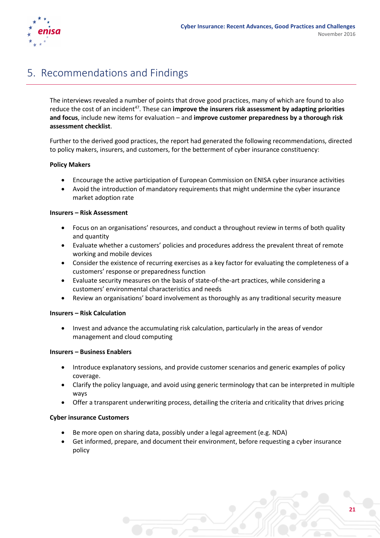

# <span id="page-20-0"></span>5. Recommendations and Findings

The interviews revealed a number of points that drove good practices, many of which are found to also reduce the cost of an incident<sup>[47](#page-15-2)</sup>. These can **improve the insurers risk assessment by adapting priorities and focus**, include new items for evaluation – and **improve customer preparedness by a thorough risk assessment checklist**.

Further to the derived good practices, the report had generated the following recommendations, directed to policy makers, insurers, and customers, for the betterment of cyber insurance constituency:

#### **Policy Makers**

- Encourage the active participation of European Commission on ENISA cyber insurance activities
- Avoid the introduction of mandatory requirements that might undermine the cyber insurance market adoption rate

#### **Insurers – Risk Assessment**

- Focus on an organisations' resources, and conduct a throughout review in terms of both quality and quantity
- Evaluate whether a customers' policies and procedures address the prevalent threat of remote working and mobile devices
- Consider the existence of recurring exercises as a key factor for evaluating the completeness of a customers' response or preparedness function
- Evaluate security measures on the basis of state-of-the-art practices, while considering a customers' environmental characteristics and needs
- Review an organisations' board involvement as thoroughly as any traditional security measure

#### **Insurers – Risk Calculation**

• Invest and advance the accumulating risk calculation, particularly in the areas of vendor management and cloud computing

#### **Insurers – Business Enablers**

- Introduce explanatory sessions, and provide customer scenarios and generic examples of policy coverage.
- Clarify the policy language, and avoid using generic terminology that can be interpreted in multiple ways
- Offer a transparent underwriting process, detailing the criteria and criticality that drives pricing

#### **Cyber insurance Customers**

- Be more open on sharing data, possibly under a legal agreement (e.g. NDA)
- Get informed, prepare, and document their environment, before requesting a cyber insurance policy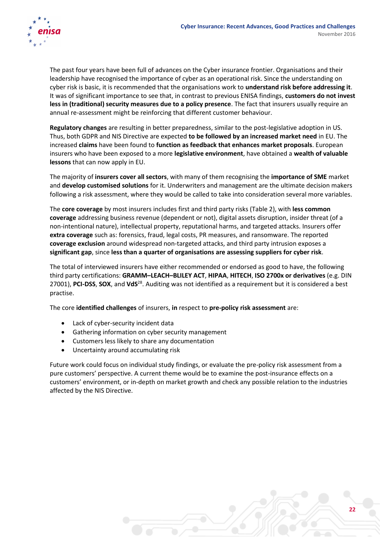

The past four years have been full of advances on the Cyber insurance frontier. Organisations and their leadership have recognised the importance of cyber as an operational risk. Since the understanding on cyber risk is basic, it is recommended that the organisations work to **understand risk before addressing it**. It was of significant importance to see that, in contrast to previous ENISA findings, **customers do not invest less in (traditional) security measures due to a policy presence**. The fact that insurers usually require an annual re-assessment might be reinforcing that different customer behaviour.

**Regulatory changes** are resulting in better preparedness, similar to the post-legislative adoption in US. Thus, both GDPR and NIS Directive are expected **to be followed by an increased market need** in EU. The increased **claims** have been found to **function as feedback that enhances market proposals**. European insurers who have been exposed to a more **legislative environment**, have obtained a **wealth of valuable lessons** that can now apply in EU.

The majority of **insurers cover all sectors**, with many of them recognising the **importance of SME** market and **develop customised solutions** for it. Underwriters and management are the ultimate decision makers following a risk assessment, where they would be called to take into consideration several more variables.

The **core coverage** by most insurers includes first and third party risks [\(Table 2\)](#page-11-2), with **less common coverage** addressing business revenue (dependent or not), digital assets disruption, insider threat (of a non-intentional nature), intellectual property, reputational harms, and targeted attacks. Insurers offer **extra coverage** such as: forensics, fraud, legal costs, PR measures, and ransomware. The reported **coverage exclusion** around widespread non-targeted attacks, and third party intrusion exposes a **significant gap**, since **less than a quarter of organisations are assessing suppliers for cyber risk**.

The total of interviewed insurers have either recommended or endorsed as good to have, the following third party certifications: **GRAMM–LEACH–BLILEY ACT**, **HIPAA**, **HITECH**, **ISO 2700x or derivatives** (e.g. DIN 27001), PCI-DSS, SOX, and VdS<sup>[28](#page-12-0)</sup>. Auditing was not identified as a requirement but it is considered a best practise.

The core **identified challenges** of insurers, **in** respect to **pre-policy risk assessment** are:

- Lack of cyber-security incident data
- Gathering information on cyber security management
- Customers less likely to share any documentation
- Uncertainty around accumulating risk

Future work could focus on individual study findings, or evaluate the pre-policy risk assessment from a pure customers' perspective. A current theme would be to examine the post-insurance effects on a customers' environment, or in-depth on market growth and check any possible relation to the industries affected by the NIS Directive.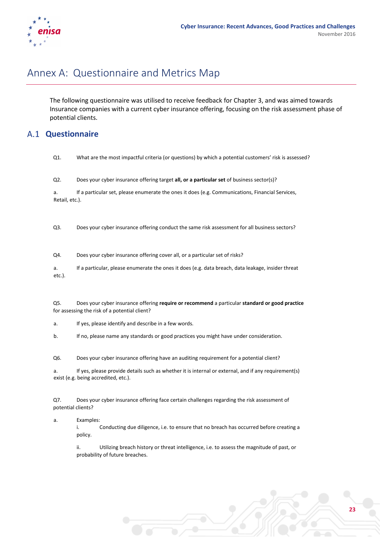

## <span id="page-22-0"></span>Annex A: Questionnaire and Metrics Map

The following questionnaire was utilised to receive feedback for Chapter [3,](#page-10-0) and was aimed towards Insurance companies with a current cyber insurance offering, focusing on the risk assessment phase of potential clients.

## <span id="page-22-1"></span>**Questionnaire**

- Q1. What are the most impactful criteria (or questions) by which a potential customers' risk is assessed?
- Q2. Does your cyber insurance offering target **all, or a particular set** of business sector(s)?

a. If a particular set, please enumerate the ones it does (e.g. Communications, Financial Services, Retail, etc.).

Q3. Does your cyber insurance offering conduct the same risk assessment for all business sectors?

Q4. Does your cyber insurance offering cover all, or a particular set of risks?

a. If a particular, please enumerate the ones it does (e.g. data breach, data leakage, insider threat etc.).

Q5. Does your cyber insurance offering **require or recommend** a particular **standard or good practice** for assessing the risk of a potential client?

a. If yes, please identify and describe in a few words.

b. If no, please name any standards or good practices you might have under consideration.

Q6. Does your cyber insurance offering have an auditing requirement for a potential client?

a. If yes, please provide details such as whether it is internal or external, and if any requirement(s) exist (e.g. being accredited, etc.).

Q7. Does your cyber insurance offering face certain challenges regarding the risk assessment of potential clients?

#### a. Examples:

i. Conducting due diligence, i.e. to ensure that no breach has occurred before creating a policy.

ii. Utilizing breach history or threat intelligence, i.e. to assess the magnitude of past, or probability of future breaches.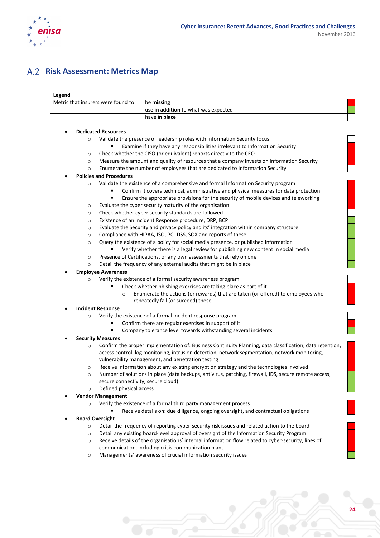

## <span id="page-23-0"></span>**Risk Assessment: Metrics Map**

#### **Legend**

| Metric that insurers were found to: | be missing                           |
|-------------------------------------|--------------------------------------|
|                                     | use in addition to what was expected |
|                                     | have in place                        |

#### **Dedicated Resources**

- o Validate the presence of leadership roles with Information Security focus
	- Examine if they have any responsibilities irrelevant to Information Security
- o Check whether the CISO (or equivalent) reports directly to the CEO
- o Measure the amount and quality of resources that a company invests on Information Security
- o Enumerate the number of employees that are dedicated to Information Security

#### **Policies and Procedures**

- o Validate the existence of a comprehensive and formal Information Security program
	- Confirm it covers technical, administrative and physical measures for data protection
		- Ensure the appropriate provisions for the security of mobile devices and teleworking
- o Evaluate the cyber security maturity of the organisation
- o Check whether cyber security standards are followed
- o Existence of an Incident Response procedure, DRP, BCP
- o Evaluate the Security and privacy policy and its' integration within company structure
- o Compliance with HIPAA, ISO, PCI-DSS, SOX and reports of these
- $\circ$  Query the existence of a policy for social media presence, or published information
	- Verify whether there is a legal review for publishing new content in social media
- o Presence of Certifications, or any own assessments that rely on one
- o Detail the frequency of any external audits that might be in place

#### **Employee Awareness**

- Verify the existence of a formal security awareness program
	- Check whether phishing exercises are taking place as part of it
		- Enumerate the actions (or rewards) that are taken (or offered) to employees who repeatedly fail (or succeed) these

#### **Incident Response**

- o Verify the existence of a formal incident response program
	- Confirm there are regular exercises in support of it
	- Company tolerance level towards withstanding several incidents
- **Security Measures**
	- o Confirm the proper implementation of: Business Continuity Planning, data classification, data retention, access control, log monitoring, intrusion detection, network segmentation, network monitoring, vulnerability management, and penetration testing
	- o Receive information about any existing encryption strategy and the technologies involved
	- o Number of solutions in place (data backups, antivirus, patching, firewall, IDS, secure remote access, secure connectivity, secure cloud)
	- o Defined physical access
- **Vendor Management**
	- o Verify the existence of a formal third party management process
		- Receive details on: due diligence, ongoing oversight, and contractual obligations

#### **Board Oversight**

- o Detail the frequency of reporting cyber-security risk issues and related action to the board
- o Detail any existing board-level approval of oversight of the Information Security Program
- o Receive details of the organisations' internal information flow related to cyber-security, lines of communication, including crisis communication plans
- o Managements' awareness of crucial information security issues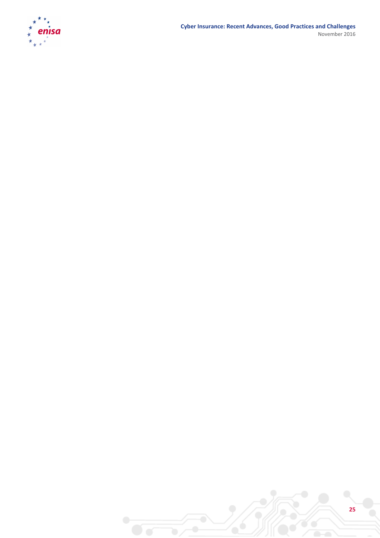